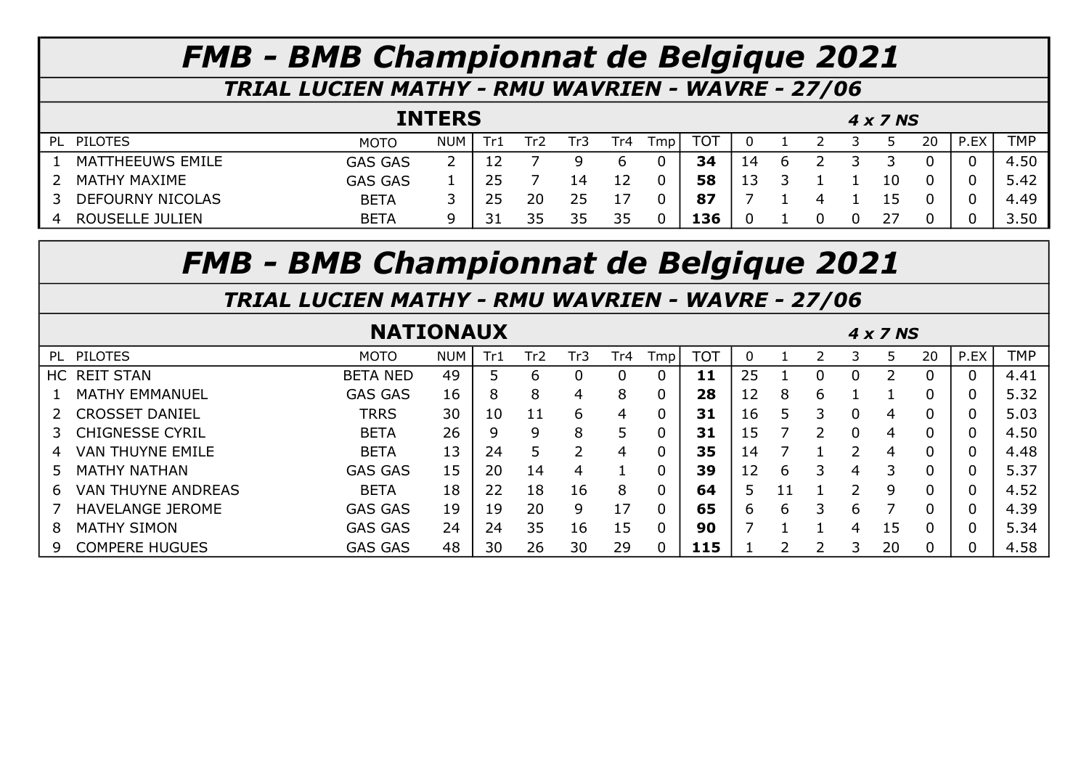TRIAL LUCIEN MATHY - RMU WAVRIEN - WAVRE - 27/06

|                         | <b>INTERS</b>  |            |  |       |     |     |      |     |    |  |  |  | 4 x 7 NS |    |      |            |
|-------------------------|----------------|------------|--|-------|-----|-----|------|-----|----|--|--|--|----------|----|------|------------|
| PL PILOTES              | <b>MOTO</b>    | <b>NUM</b> |  | -l r2 | ГrЗ | Tr4 | Tmp. | TOT |    |  |  |  |          | 20 | P.EX | <b>TMP</b> |
| MATTHEEUWS EMILE        | <b>GAS GAS</b> | ົາ<br>∼    |  |       |     |     |      | 34  | 14 |  |  |  |          |    |      | 4.50       |
| MATHY MAXIME            | <b>GAS GAS</b> |            |  |       | L4  |     |      | 58  |    |  |  |  |          |    |      | 5.42       |
| <b>DEFOURNY NICOLAS</b> | <b>BETA</b>    |            |  |       | 25  |     |      |     |    |  |  |  |          |    |      | 4.49       |
| <b>ROUSELLE JULIEN</b>  | <b>BETA</b>    | 9          |  | つに    | 35  | 35  |      | 136 |    |  |  |  |          |    |      | 3.50       |

# FMB - BMB Championnat de Belgique 2021

|                                | <b>NATIONAUX</b> |            |     |                 |               |     |                |            |    |    |   |   | 4 x 7 NS |                |      | <b>TMP</b><br>4.41<br>5.32<br>5.03<br>4.50<br>4.48<br>5.37 |  |  |  |  |  |  |
|--------------------------------|------------------|------------|-----|-----------------|---------------|-----|----------------|------------|----|----|---|---|----------|----------------|------|------------------------------------------------------------|--|--|--|--|--|--|
| PILOTES<br>PL.                 | <b>MOTO</b>      | <b>NUM</b> | Tr1 | Tr <sub>2</sub> | Tr3           | Tr4 | Tmp            | <b>TOT</b> |    |    |   | З | Ь        | 20             | P.EX |                                                            |  |  |  |  |  |  |
| HC REIT STAN                   | <b>BETA NED</b>  | 49         |     | b               |               |     | 0              | 11         | 25 |    |   | 0 |          | $\mathbf 0$    |      |                                                            |  |  |  |  |  |  |
| <b>MATHY EMMANUEL</b>          | <b>GAS GAS</b>   | 16         | 8   | 8               | 4             | 8   | 0              | 28         | 12 | 8  | 6 |   |          | 0              |      |                                                            |  |  |  |  |  |  |
| <b>CROSSET DANIEL</b>          | <b>TRRS</b>      | 30         | 10  |                 | 6             | 4   | $\mathbf 0$    | 31         | 16 | 5  | 3 | 0 | 4        | 0              |      |                                                            |  |  |  |  |  |  |
| <b>CHIGNESSE CYRIL</b>         | <b>BETA</b>      | 26         | q   | 9               | 8             | 5   | 0              | 31         | 15 |    |   | 0 | 4        | 0              |      |                                                            |  |  |  |  |  |  |
| <b>VAN THUYNE EMILE</b><br>4   | <b>BETA</b>      | 13         | 24  |                 | $\mathcal{P}$ | 4   | $\overline{0}$ | 35         | 14 |    |   | っ | 4        | 0              |      |                                                            |  |  |  |  |  |  |
| <b>MATHY NATHAN</b><br>5.      | <b>GAS GAS</b>   | 15         | 20  | 14              | 4             |     | $\overline{0}$ | 39         | 12 | 6  | 3 | 4 | 3        | 0              |      |                                                            |  |  |  |  |  |  |
| <b>VAN THUYNE ANDREAS</b><br>6 | <b>BETA</b>      | 18         | 22  | 18              | 16            | 8   | $\mathbf 0$    | 64         | 5. | 11 |   | っ | 9        | $\overline{0}$ |      | 4.52                                                       |  |  |  |  |  |  |
| <b>HAVELANGE JEROME</b>        | <b>GAS GAS</b>   | 19         | 19  | 20              | 9             | 17  | $\mathbf 0$    | 65         | 6. | 6  | 3 | 6 |          | 0              |      | 4.39                                                       |  |  |  |  |  |  |
| <b>MATHY SIMON</b><br>8        | <b>GAS GAS</b>   | 24         | 24  | 35              | 16            | 15  | 0              | 90         |    |    |   | 4 | 15       | 0              |      | 5.34                                                       |  |  |  |  |  |  |
| <b>COMPERE HUGUES</b><br>9     | <b>GAS GAS</b>   | 48         | 30  | 26              | 30            | 29  | 0              | 115        |    |    |   | っ | 20       | 0              |      | 4.58                                                       |  |  |  |  |  |  |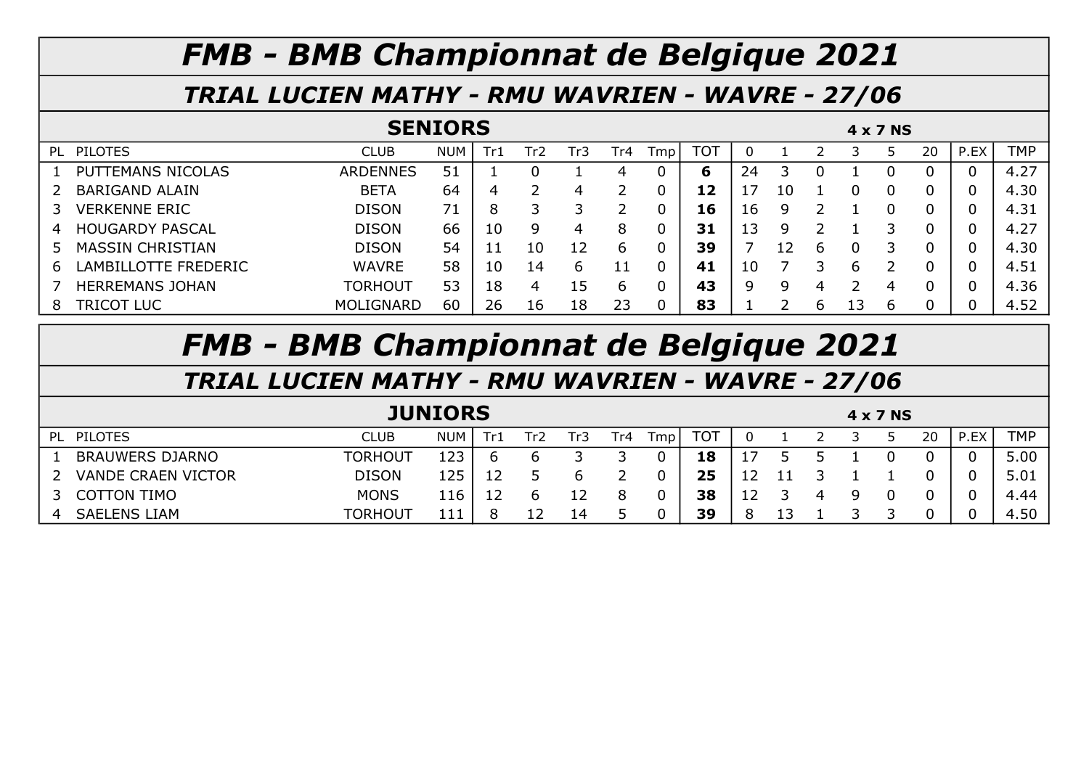#### TRIAL LUCIEN MATHY - RMU WAVRIEN - WAVRE - 27/06

|    |                         |                  |            |     |                 |     | 4 x 7 NS |     |            |    |    |   |   |   |    |      |            |
|----|-------------------------|------------------|------------|-----|-----------------|-----|----------|-----|------------|----|----|---|---|---|----|------|------------|
| PL | <b>PILOTES</b>          | <b>CLUB</b>      | <b>NUM</b> | Tr1 | Tr <sub>2</sub> | Tr3 | Tr4      | Tmp | <b>TOT</b> | 0  |    |   |   |   | 20 | P.EX | <b>TMP</b> |
|    | PUTTEMANS NICOLAS       | <b>ARDENNES</b>  | 51         |     |                 |     | 4        | 0   | 6          | 24 |    |   |   |   |    |      | 4.27       |
|    | <b>BARIGAND ALAIN</b>   | <b>BETA</b>      | 64         | 4   |                 | 4   |          | 0   | 12         |    | 10 |   |   |   |    |      | 4.30       |
|    | <b>VERKENNE ERIC</b>    | <b>DISON</b>     | 71         | 8   |                 |     |          | 0   | 16         | 16 |    |   |   |   |    |      | 4.31       |
| 4  | <b>HOUGARDY PASCAL</b>  | <b>DISON</b>     | 66         | 10  | q               | 4   | 8        | 0   | 31         | 13 | q  |   |   |   |    |      | 4.27       |
| 5  | <b>MASSIN CHRISTIAN</b> | <b>DISON</b>     | 54         |     | 10              | 12  | b        | 0   | 39         |    | 12 | b |   |   | n  |      | 4.30       |
| b  | LAMBILLOTTE FREDERIC    | <b>WAVRE</b>     | 58         | 10  | 14              | 6   | 11       | 0   | 41         | 10 |    |   | b |   |    |      | 4.51       |
|    | <b>HERREMANS JOHAN</b>  | TORHOUT          | 53         | 18  | 4               | 15  | b        | 0   | 43         | 9  |    | 4 |   | △ |    |      | 4.36       |
| 8  | TRICOT LUC              | <b>MOLIGNARD</b> | 60         | 26  | 16              | 18  | 23       | 0   | 83         |    |    | b |   | b |    |      | 4.52       |

# FMB - BMB Championnat de Belgique 2021

|    |                           |                |            |     | 4 x 7 NS |     |     |     |    |  |  |    |            |
|----|---------------------------|----------------|------------|-----|----------|-----|-----|-----|----|--|--|----|------------|
| PL | <b>PILOTES</b>            | <b>CLUB</b>    | <b>NUM</b> | ۱r۶ | ГrЗ      | Tr4 | Tmp | тот |    |  |  | 20 | <b>TMP</b> |
|    | <b>BRAUWERS DJARNO</b>    | <b>TORHOUT</b> | 123        |     |          |     |     | 18  |    |  |  |    | 5.00       |
|    | <b>VANDE CRAEN VICTOR</b> | <b>DISON</b>   | 125        |     |          |     |     | 25  |    |  |  |    | 5.01       |
|    | <b>COTTON TIMO</b>        | <b>MONS</b>    | 116        |     |          |     |     | 38  | ∸∸ |  |  |    | 4.44       |
| 4  | <b>SAELENS LIAM</b>       | TORHOUT        | 111        |     | 14       |     |     | 39  |    |  |  |    | 4.50       |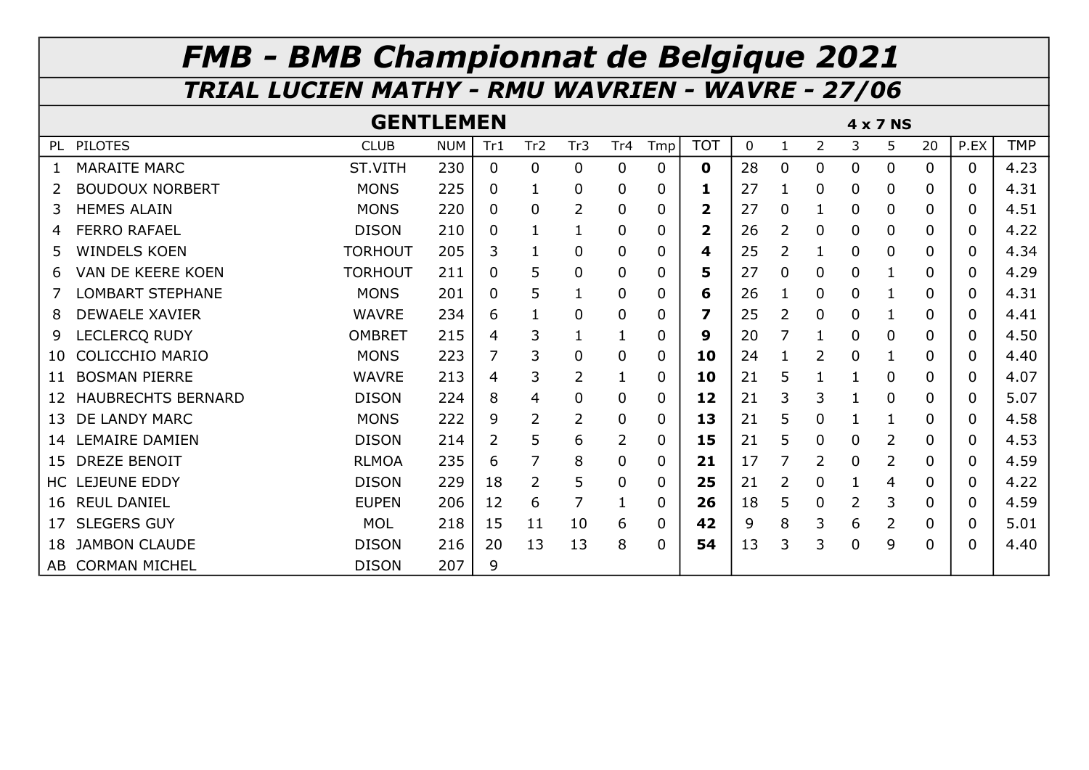|    |                           | <b>GENTLEMEN</b> |            |          |                 |                |                 |     |              |    |                |              | $4 \times 7$ NS |   |              |      |            |
|----|---------------------------|------------------|------------|----------|-----------------|----------------|-----------------|-----|--------------|----|----------------|--------------|-----------------|---|--------------|------|------------|
| PL | <b>PILOTES</b>            | <b>CLUB</b>      | <b>NUM</b> | Tr1      | Tr <sub>2</sub> | Tr3            | Tr <sub>4</sub> | Tmp | <b>TOT</b>   | 0  |                | 2            | 3               | 5 | 20           | P.EX | <b>TMP</b> |
|    | <b>MARAITE MARC</b>       | ST.VITH          | 230        | $\Omega$ | $\mathbf{0}$    | $\mathbf{0}$   | $\mathbf{0}$    | 0   | $\mathbf 0$  | 28 | $\mathbf{0}$   | $\mathbf{0}$ | $\Omega$        | 0 | $\mathbf{0}$ | 0    | 4.23       |
|    | <b>BOUDOUX NORBERT</b>    | <b>MONS</b>      | 225        | 0        | $\mathbf{1}$    | 0              | $\mathbf 0$     | 0   | 1            | 27 |                | 0            | 0               | 0 | 0            | 0    | 4.31       |
| 3  | <b>HEMES ALAIN</b>        | <b>MONS</b>      | 220        | $\Omega$ | $\Omega$        | 2              | 0               | 0   | $\mathbf{2}$ | 27 | 0              |              | 0               | 0 | 0            | 0    | 4.51       |
| 4  | <b>FERRO RAFAEL</b>       | <b>DISON</b>     | 210        | 0        | 1               |                | $\mathbf 0$     | 0   | $\mathbf{2}$ | 26 | 2              | 0            | 0               | 0 | 0            | 0    | 4.22       |
| 5  | <b>WINDELS KOEN</b>       | <b>TORHOUT</b>   | 205        | 3        | $\mathbf 1$     | 0              | $\mathbf 0$     | 0   | 4            | 25 | $\overline{2}$ |              | 0               | 0 | 0            | 0    | 4.34       |
| 6  | VAN DE KEERE KOEN         | <b>TORHOUT</b>   | 211        | $\Omega$ | 5               | 0              | $\overline{0}$  | 0   | 5            | 27 | $\mathbf{0}$   | $\Omega$     | 0               |   | 0            | 0    | 4.29       |
|    | <b>LOMBART STEPHANE</b>   | <b>MONS</b>      | 201        | 0        | 5               | 1              | $\mathbf 0$     | 0   | 6            | 26 |                | 0            | 0               |   | 0            | 0    | 4.31       |
| 8  | <b>DEWAELE XAVIER</b>     | <b>WAVRE</b>     | 234        | 6        | 1               | 0              | 0               | 0   | 7            | 25 | 2              | 0            | 0               |   | 0            | 0    | 4.41       |
| 9  | LECLERCQ RUDY             | <b>OMBRET</b>    | 215        | 4        | 3               |                |                 | 0   | 9            | 20 | 7              |              | 0               | 0 | 0            | 0    | 4.50       |
| 10 | <b>COLICCHIO MARIO</b>    | <b>MONS</b>      | 223        | 7        | 3               | 0              | 0               | 0   | 10           | 24 |                | 2            | 0               |   | 0            | 0    | 4.40       |
| 11 | <b>BOSMAN PIERRE</b>      | <b>WAVRE</b>     | 213        | 4        | 3               | $\overline{2}$ |                 | 0   | 10           | 21 | 5              |              |                 | 0 | 0            | 0    | 4.07       |
| 12 | <b>HAUBRECHTS BERNARD</b> | <b>DISON</b>     | 224        | 8        | 4               | 0              | $\mathbf 0$     | 0   | 12           | 21 | 3              | 3            |                 | 0 | 0            | 0    | 5.07       |
| 13 | DE LANDY MARC             | <b>MONS</b>      | 222        | 9        | $\overline{2}$  | 2              | 0               | 0   | 13           | 21 | 5              | 0            |                 |   | 0            | 0    | 4.58       |
| 14 | <b>LEMAIRE DAMIEN</b>     | <b>DISON</b>     | 214        | 2        | 5               | 6              | $\overline{2}$  | 0   | 15           | 21 | 5              | 0            | 0               | 2 | 0            | 0    | 4.53       |
| 15 | <b>DREZE BENOIT</b>       | <b>RLMOA</b>     | 235        | 6        |                 | 8              | $\mathbf 0$     | 0   | 21           | 17 | 7              | 2            | 0               | 2 | 0            | 0    | 4.59       |
| HС | <b>EJEUNE EDDY</b>        | <b>DISON</b>     | 229        | 18       | $\overline{2}$  | 5              | $\mathbf 0$     | 0   | 25           | 21 | 2              | $\Omega$     |                 | 4 | 0            | 0    | 4.22       |
| 16 | <b>REUL DANIEL</b>        | <b>EUPEN</b>     | 206        | 12       | 6               | 7              |                 | 0   | 26           | 18 | 5              | $\Omega$     | $\overline{2}$  | 3 | 0            | 0    | 4.59       |
| 17 | <b>SLEGERS GUY</b>        | <b>MOL</b>       | 218        | 15       | 11              | 10             | 6               | 0   | 42           | 9  | 8              | 3            | 6               | 2 | 0            | 0    | 5.01       |
| 18 | <b>JAMBON CLAUDE</b>      | <b>DISON</b>     | 216        | 20       | 13              | 13             | 8               | 0   | 54           | 13 | 3              | 3            | 0               | 9 | 0            | 0    | 4.40       |
|    | AB CORMAN MICHEL          | <b>DISON</b>     | 207        | 9        |                 |                |                 |     |              |    |                |              |                 |   |              |      |            |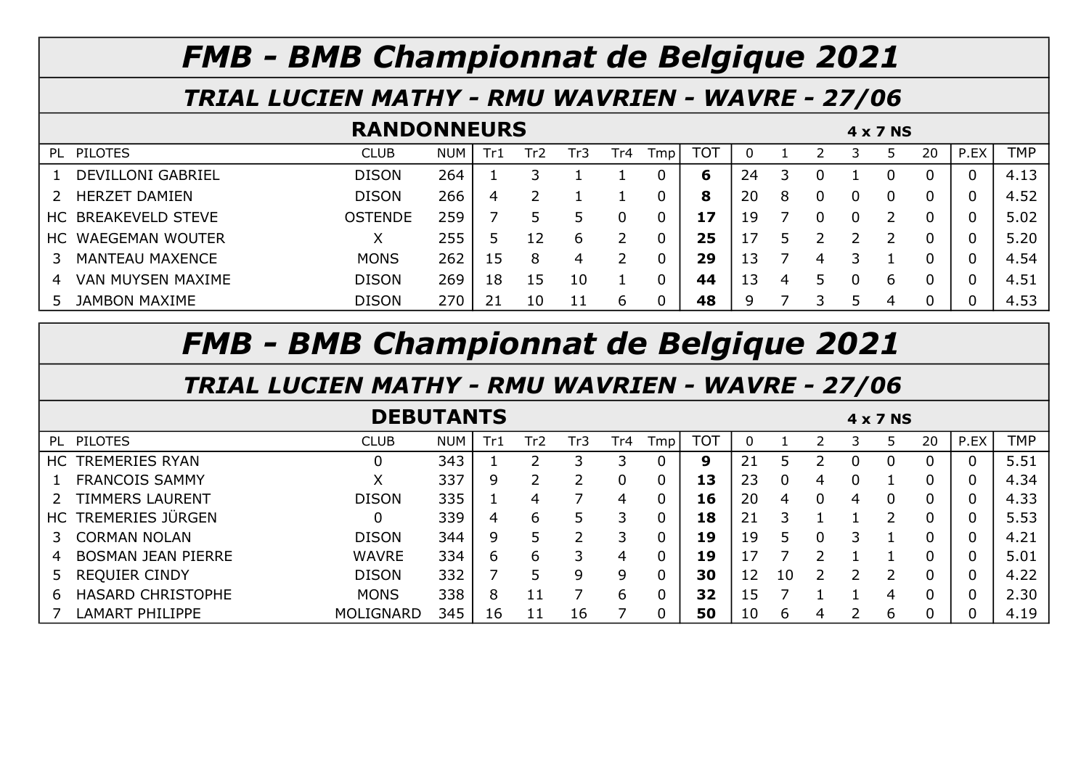#### TRIAL LUCIEN MATHY - RMU WAVRIEN - WAVRE - 27/06

|                          | <b>RANDONNEURS</b> |            |     |                 |     |      |      |            |    |   |   |  | 4 x 7 NS |    |          |            |
|--------------------------|--------------------|------------|-----|-----------------|-----|------|------|------------|----|---|---|--|----------|----|----------|------------|
| <b>PILOTES</b><br>PL     | <b>CLUB</b>        | <b>NUM</b> | Tr1 | Tr <sub>2</sub> | Tr3 | Tr4. | Tmpl | <b>TOT</b> |    |   |   |  |          | 20 | P.EX     | <b>TMP</b> |
| <b>DEVILLONI GABRIEL</b> | <b>DISON</b>       | 264        |     |                 |     |      |      | 6          | 24 |   |   |  |          |    | $\Omega$ | 4.13       |
| <b>HERZET DAMIEN</b>     | <b>DISON</b>       | 266        | 4   |                 |     |      |      | 8          | 20 | 8 |   |  |          |    |          | 4.52       |
| HC BREAKEVELD STEVE      | <b>OSTENDE</b>     | 259        |     |                 |     |      |      | 17         | 19 |   |   |  |          |    |          | 5.02       |
| HC WAEGEMAN WOUTER       |                    | 255        |     |                 | b   |      |      | 25         |    |   |   |  |          |    |          | 5.20       |
| MANTEAU MAXENCE          | <b>MONS</b>        | 262        | 15  | 8               | 4   |      |      | 29         | 13 |   | 4 |  |          |    |          | 4.54       |
| VAN MUYSEN MAXIME<br>4   | <b>DISON</b>       | 269        | 18  | 15              | 10  |      |      | 44         | 13 | 4 |   |  | h        |    |          | 4.51       |
| <b>JAMBON MAXIME</b>     | <b>DISON</b>       | 270        | 21  |                 | 11  | h    |      | 48         | 9  |   |   |  | 4        |    |          | 4.53       |

## FMB - BMB Championnat de Belgique 2021

|                                | <b>DEBUTANTS</b> |            |          |     |     |     |                 |            |    |    |   |   | 4 x 7 NS |          |      |            |
|--------------------------------|------------------|------------|----------|-----|-----|-----|-----------------|------------|----|----|---|---|----------|----------|------|------------|
| <b>PILOTES</b><br>PL           | <b>CLUB</b>      | <b>NUM</b> | Tr1      | Tr2 | Tr3 | Fr4 | T <sub>mp</sub> | <b>TOT</b> |    |    |   |   |          | 20       | P.EX | <b>TMP</b> |
| <b>TREMERIES RYAN</b><br>HC.   |                  | 343        |          |     |     |     | 0               | 9          | 21 |    |   |   |          |          |      | 5.51       |
| <b>FRANCOIS SAMMY</b>          |                  | 337        | 9        |     |     |     | 0               | 13         | 23 |    | 4 |   |          |          |      | 4.34       |
| <b>TIMMERS LAURENT</b>         | <b>DISON</b>     | 335        |          | 4   |     | 4   | 0               | 16         | 20 | 4  |   | 4 |          | 0        |      | 4.33       |
| TREMERIES JÜRGEN<br>HC .       |                  | 339        | 4        | 6   | 5   | 3   | 0               | 18         | 21 | 3  |   |   |          | 0        |      | 5.53       |
| <b>CORMAN NOLAN</b>            | <b>DISON</b>     | 344        | 9        | 5   |     | З   | 0               | 19         | 19 | 5  |   |   |          |          |      | 4.21       |
| <b>BOSMAN JEAN PIERRE</b><br>4 | <b>WAVRE</b>     | 334        | $\sigma$ | 6   |     | 4   | 0               | 19         |    |    |   |   |          |          |      | 5.01       |
| <b>REQUIER CINDY</b><br>5      | <b>DISON</b>     | 332        |          | 5   | q   | 9   | 0               | 30         | 12 | 10 |   |   |          | $\Omega$ |      | 4.22       |
| <b>HASARD CHRISTOPHE</b><br>b  | <b>MONS</b>      | 338        | 8        |     |     | 6   | 0               | 32         | 15 |    |   |   | 4        | 0        |      | 2.30       |
| LAMART PHILIPPE                | MOLIGNARD        | 345        | 16       |     | 16  |     |                 | 50         | 10 | b  | 4 |   | b        |          |      | 4.19       |